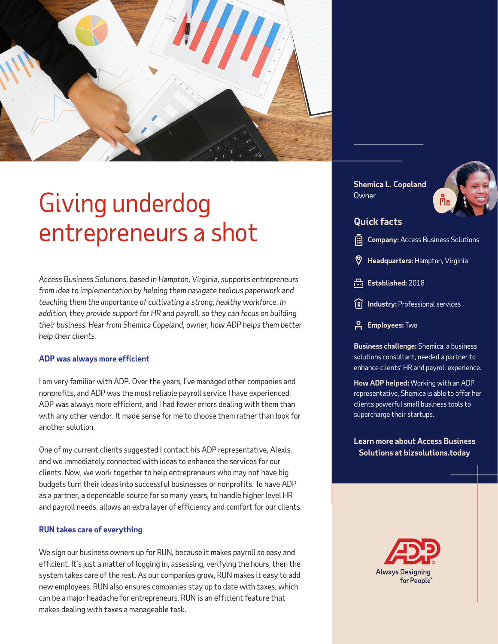

# Giving underdog entrepreneurs a shot

*Access Business Solutions, based in Hampton, Virginia, supports entrepreneurs from idea to implementation by helping them navigate tedious paperwork and teaching them the importance of cultivating a strong, healthy workforce. In addition, they provide support for HR and payroll, so they can focus on building their business. Hear from Shemica Copeland, owner, how ADP helps them better help their clients.*

#### **ADP was always more efficient**

I am very familiar with ADP. Over the years, I've managed other companies and nonprofits, and ADP was the most reliable payroll service I have experienced. ADP was always more efficient, and I had fewer errors dealing with them than with any other vendor. It made sense for me to choose them rather than look for another solution.

One of my current clients suggested I contact his ADP representative, Alexis, and we immediately connected with ideas to enhance the services for our clients. Now, we work together to help entrepreneurs who may not have big budgets turn their ideas into successful businesses or nonprofits. To have ADP as a partner, a dependable source for so many years, to handle higher level HR and payroll needs, allows an extra layer of efficiency and comfort for our clients.

### **RUN takes care of everything**

We sign our business owners up for RUN, because it makes payroll so easy and efficient. It's just a matter of logging in, assessing, verifying the hours, then the system takes care of the rest. As our companies grow, RUN makes it easy to add new employees. RUN also ensures companies stay up to date with taxes, which can be a major headache for entrepreneurs. RUN is an efficient feature that makes dealing with taxes a manageable task.

**Shemica L. Copeland Owner** 



# **Quick facts**

**Company:** Access Business Solutions

- **Headquarters:** Hampton, Virginia
- Established: 2018
- **Industry:** Professional services
- **Employees:** Two

**Business challenge:** Shemica, a business solutions consultant, needed a partner to enhance clients' HR and payroll experience.

**How ADP helped:** Working with an ADP representative, Shemica is able to offer her clients powerful small business tools to supercharge their startups.

**Learn more about Access Business Solutions at [bizsolutions.today](https://www.bizsolutions.today/)**